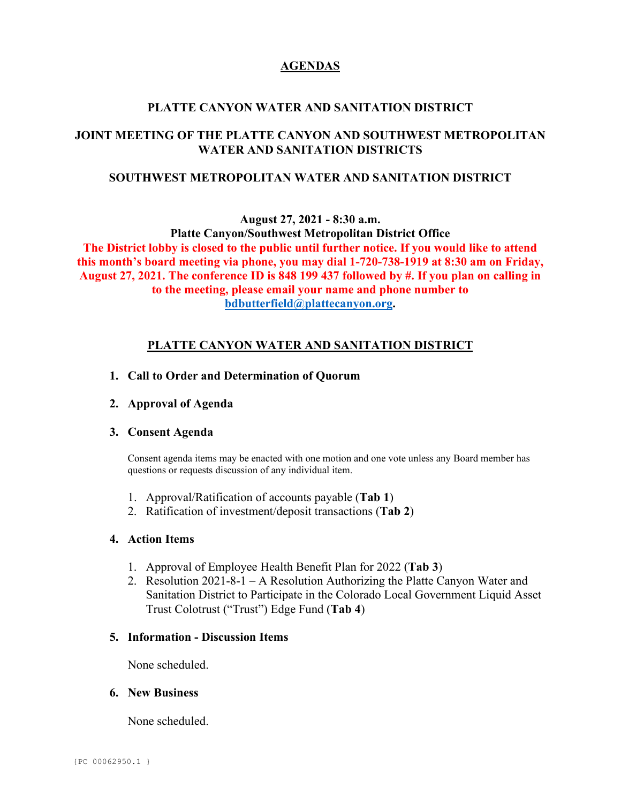## **AGENDAS**

## **PLATTE CANYON WATER AND SANITATION DISTRICT**

# **JOINT MEETING OF THE PLATTE CANYON AND SOUTHWEST METROPOLITAN WATER AND SANITATION DISTRICTS**

## **SOUTHWEST METROPOLITAN WATER AND SANITATION DISTRICT**

**August 27, 2021 - 8:30 a.m.**

**Platte Canyon/Southwest Metropolitan District Office The District lobby is closed to the public until further notice. If you would like to attend this month's board meeting via phone, you may dial 1-720-738-1919 at 8:30 am on Friday, August 27, 2021. The conference ID is 848 199 437 followed by #. If you plan on calling in to the meeting, please email your name and phone number to [bdbutterfield@plattecanyon.org.](mailto:bdbutterfield@plattecanyon.org)**

# **PLATTE CANYON WATER AND SANITATION DISTRICT**

- **1. Call to Order and Determination of Quorum**
- **2. Approval of Agenda**

## **3. Consent Agenda**

Consent agenda items may be enacted with one motion and one vote unless any Board member has questions or requests discussion of any individual item.

- 1. Approval/Ratification of accounts payable (**Tab 1**)
- 2. Ratification of investment/deposit transactions (**Tab 2**)

## **4. Action Items**

- 1. Approval of Employee Health Benefit Plan for 2022 (**Tab 3**)
- 2. Resolution 2021-8-1 A Resolution Authorizing the Platte Canyon Water and Sanitation District to Participate in the Colorado Local Government Liquid Asset Trust Colotrust ("Trust") Edge Fund (**Tab 4**)

#### **5. Information - Discussion Items**

None scheduled.

## **6. New Business**

None scheduled.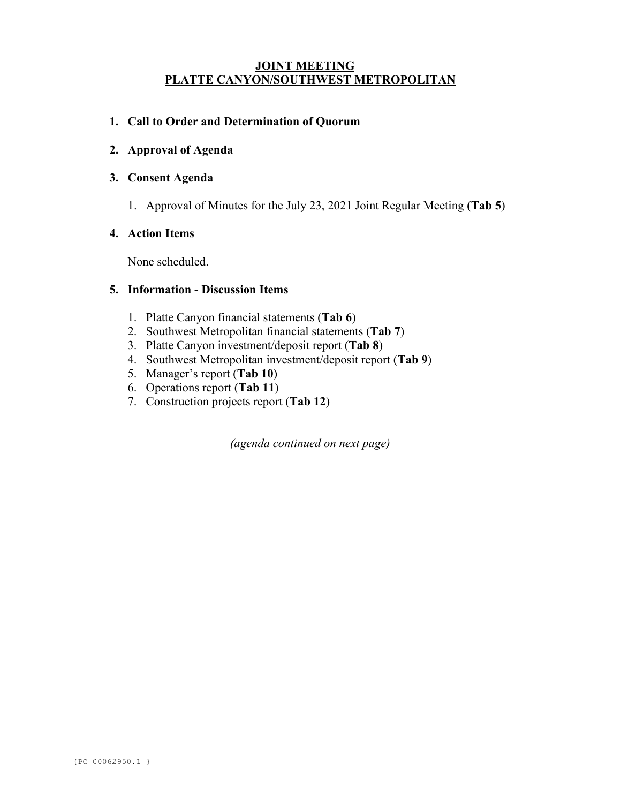## **JOINT MEETING PLATTE CANYON/SOUTHWEST METROPOLITAN**

## **1. Call to Order and Determination of Quorum**

**2. Approval of Agenda**

#### **3. Consent Agenda**

1. Approval of Minutes for the July 23, 2021 Joint Regular Meeting **(Tab 5**)

#### **4. Action Items**

None scheduled.

### **5. Information - Discussion Items**

- 1. Platte Canyon financial statements (**Tab 6**)
- 2. Southwest Metropolitan financial statements (**Tab 7**)
- 3. Platte Canyon investment/deposit report (**Tab 8**)
- 4. Southwest Metropolitan investment/deposit report (**Tab 9**)
- 5. Manager's report (**Tab 10**)
- 6. Operations report (**Tab 11**)
- 7. Construction projects report (**Tab 12**)

*(agenda continued on next page)*